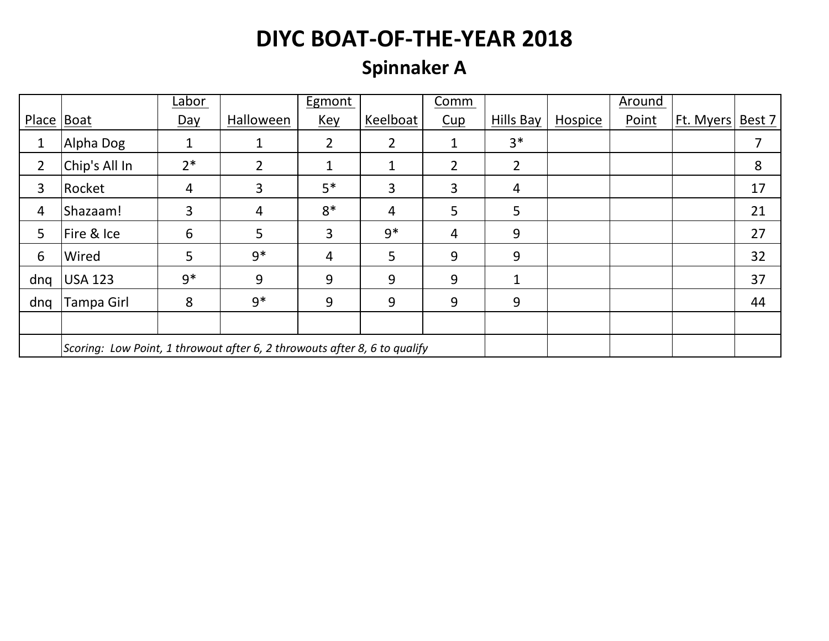## **Spinnaker A**

|              |                                                                           | Labor       |           | Egmont         |                | Comm           |                |         | Around |           |        |
|--------------|---------------------------------------------------------------------------|-------------|-----------|----------------|----------------|----------------|----------------|---------|--------|-----------|--------|
| Place   Boat |                                                                           | Day         | Halloween | <u>Key</u>     | Keelboat       | Cup            | Hills Bay      | Hospice | Point  | Ft. Myers | Best 7 |
| 1            | Alpha Dog                                                                 | $\mathbf 1$ | 1         | $\overline{2}$ | $\overline{2}$ | 1              | $3*$           |         |        |           |        |
| 2            | Chip's All In                                                             | $2*$        | 2         | $\mathbf{1}$   | 1              | $\overline{2}$ | $\overline{2}$ |         |        |           | 8      |
| 3            | Rocket                                                                    | 4           | 3         | $5*$           | 3              | 3              | $\overline{4}$ |         |        |           | 17     |
| 4            | Shazaam!                                                                  | 3           | 4         | $8*$           | 4              | 5              | 5              |         |        |           | 21     |
| 5            | Fire & Ice                                                                | 6           | 5         | 3              | $9*$           | $\overline{4}$ | 9              |         |        |           | 27     |
| 6            | Wired                                                                     | 5           | $9*$      | 4              | 5              | 9              | 9              |         |        |           | 32     |
| dng          | <b>USA 123</b>                                                            | $9*$        | 9         | 9              | 9              | 9              | 1              |         |        |           | 37     |
| dng          | Tampa Girl                                                                | 8           | $9*$      | 9              | 9              | 9              | 9              |         |        |           | 44     |
|              |                                                                           |             |           |                |                |                |                |         |        |           |        |
|              | Scoring: Low Point, 1 throwout after 6, 2 throwouts after 8, 6 to qualify |             |           |                |                |                |                |         |        |           |        |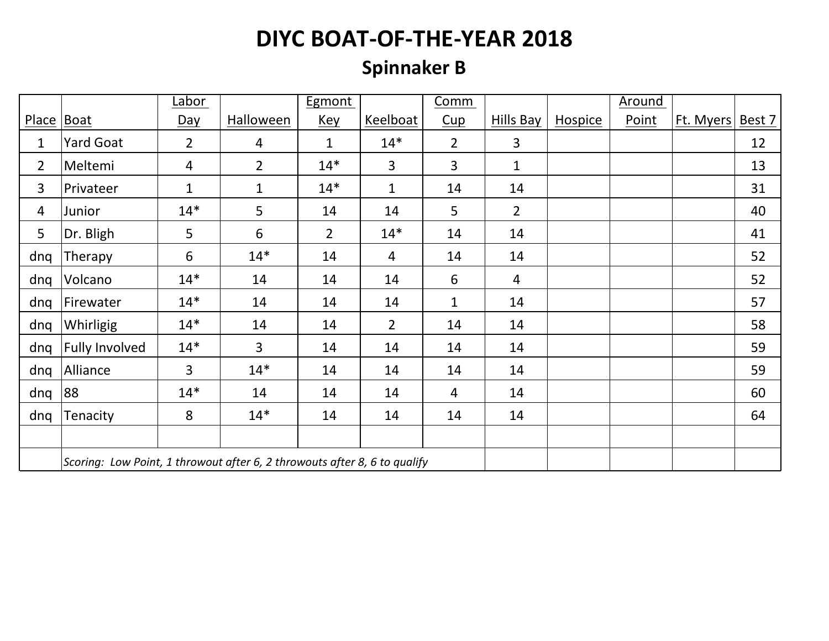## **Spinnaker B**

|                |                                                                           | Labor          |                | <b>Egmont</b>  |                | Comm           |                |         | <b>Around</b> |           |        |
|----------------|---------------------------------------------------------------------------|----------------|----------------|----------------|----------------|----------------|----------------|---------|---------------|-----------|--------|
| <b>Place</b>   | Boat                                                                      | <u>Day</u>     | Halloween      | <u>Key</u>     | Keelboat       | Cup            | Hills Bay      | Hospice | Point         | Ft. Myers | Best 7 |
| $\mathbf{1}$   | <b>Yard Goat</b>                                                          | $\overline{2}$ | $\overline{4}$ | $\mathbf{1}$   | $14*$          | $\overline{2}$ | $\overline{3}$ |         |               |           | 12     |
| $\overline{2}$ | Meltemi                                                                   | $\overline{4}$ | $\overline{2}$ | $14*$          | $\overline{3}$ | $\overline{3}$ | $\mathbf{1}$   |         |               |           | 13     |
| 3              | Privateer                                                                 | $\mathbf{1}$   | $\mathbf{1}$   | $14*$          | $\mathbf{1}$   | 14             | 14             |         |               |           | 31     |
| 4              | Junior                                                                    | $14*$          | $5\phantom{.}$ | 14             | 14             | 5              | $\overline{2}$ |         |               |           | 40     |
| 5              | Dr. Bligh                                                                 | 5              | 6              | $\overline{2}$ | $14*$          | 14             | 14             |         |               |           | 41     |
| dnq            | Therapy                                                                   | 6              | $14*$          | 14             | 4              | 14             | 14             |         |               |           | 52     |
| dnq            | Volcano                                                                   | $14*$          | 14             | 14             | 14             | 6              | $\overline{4}$ |         |               |           | 52     |
| dnq            | Firewater                                                                 | $14*$          | 14             | 14             | 14             | $\mathbf 1$    | 14             |         |               |           | 57     |
| dnq            | Whirligig                                                                 | $14*$          | 14             | 14             | $\overline{2}$ | 14             | 14             |         |               |           | 58     |
| dnq            | <b>Fully Involved</b>                                                     | $14*$          | $\overline{3}$ | 14             | 14             | 14             | 14             |         |               |           | 59     |
| dnq            | Alliance                                                                  | 3              | $14*$          | 14             | 14             | 14             | 14             |         |               |           | 59     |
| dnq            | 88                                                                        | $14*$          | 14             | 14             | 14             | $\overline{4}$ | 14             |         |               |           | 60     |
| dnq            | Tenacity                                                                  | 8              | $14*$          | 14             | 14             | 14             | 14             |         |               |           | 64     |
|                |                                                                           |                |                |                |                |                |                |         |               |           |        |
|                | Scoring: Low Point, 1 throwout after 6, 2 throwouts after 8, 6 to qualify |                |                |                |                |                |                |         |               |           |        |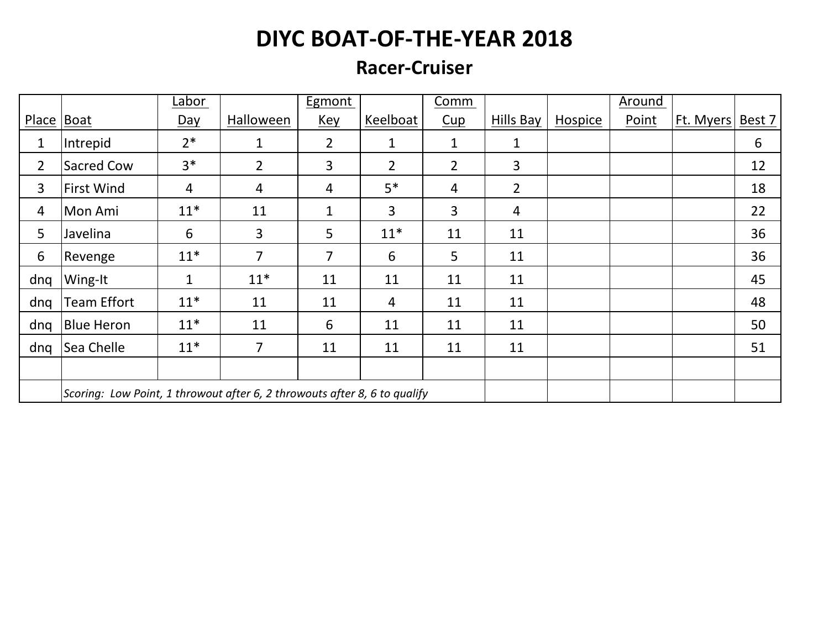#### **Racer-Cruiser**

|                |                                                                           | Labor        |                | <b>Egmont</b>  |                | Comm           |                |                | Around |           |        |
|----------------|---------------------------------------------------------------------------|--------------|----------------|----------------|----------------|----------------|----------------|----------------|--------|-----------|--------|
| Place Boat     |                                                                           | Day          | Halloween      | <u>Key</u>     | Keelboat       | Cup            | Hills Bay      | <b>Hospice</b> | Point  | Ft. Myers | Best 7 |
| $\mathbf{1}$   | Intrepid                                                                  | $2*$         | $\mathbf{1}$   | $\overline{2}$ | $\mathbf{1}$   | $\mathbf{1}$   | 1              |                |        |           | 6      |
| $\overline{2}$ | Sacred Cow                                                                | $3*$         | $\overline{2}$ | 3              | $\overline{2}$ | $\overline{2}$ | 3              |                |        |           | 12     |
| 3              | <b>First Wind</b>                                                         | 4            | 4              | 4              | $5*$           | $\overline{4}$ | $\overline{2}$ |                |        |           | 18     |
| $\overline{4}$ | Mon Ami                                                                   | $11*$        | 11             | $\mathbf{1}$   | 3              | 3              | $\overline{4}$ |                |        |           | 22     |
| 5              | Javelina                                                                  | 6            | 3              | 5              | $11*$          | 11             | 11             |                |        |           | 36     |
| 6              | Revenge                                                                   | $11*$        | $\overline{7}$ | 7              | 6              | 5              | 11             |                |        |           | 36     |
| dng            | Wing-It                                                                   | $\mathbf{1}$ | $11*$          | 11             | 11             | 11             | 11             |                |        |           | 45     |
| dng            | <b>Team Effort</b>                                                        | $11*$        | 11             | 11             | $\overline{4}$ | 11             | 11             |                |        |           | 48     |
| dng            | <b>Blue Heron</b>                                                         | $11*$        | 11             | 6              | 11             | 11             | 11             |                |        |           | 50     |
| dng            | Sea Chelle                                                                | $11*$        | $\overline{7}$ | 11             | 11             | 11             | 11             |                |        |           | 51     |
|                |                                                                           |              |                |                |                |                |                |                |        |           |        |
|                | Scoring: Low Point, 1 throwout after 6, 2 throwouts after 8, 6 to qualify |              |                |                |                |                |                |                |        |           |        |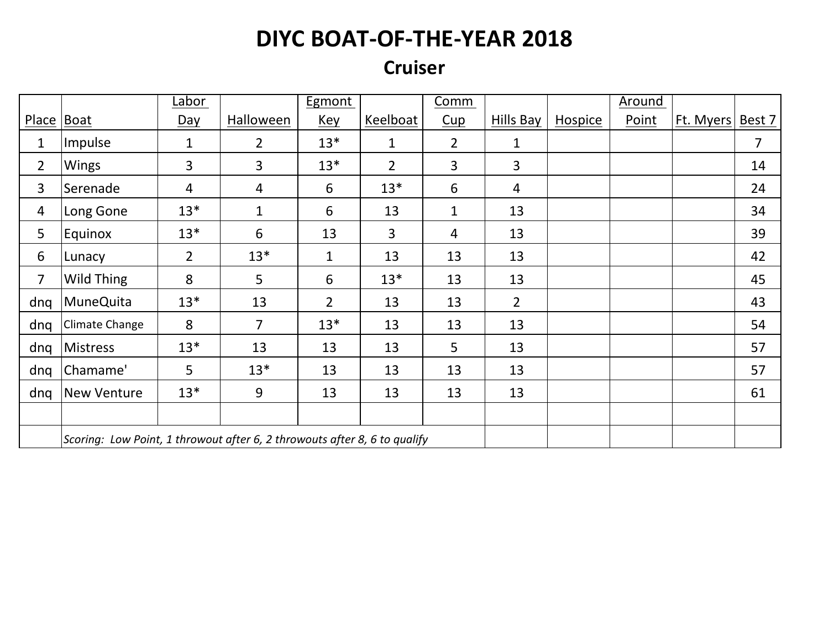#### **Cruiser**

|                |                                                                           | Labor          |                | Egmont         |                | <b>Comm</b>    |                |                | <b>Around</b> |           |                |
|----------------|---------------------------------------------------------------------------|----------------|----------------|----------------|----------------|----------------|----------------|----------------|---------------|-----------|----------------|
| Place   Boat   |                                                                           | <u>Day</u>     | Halloween      | <u>Key</u>     | Keelboat       | Cup            | Hills Bay      | <b>Hospice</b> | Point         | Ft. Myers | Best 7         |
| 1              | Impulse                                                                   | $\mathbf{1}$   | $\overline{2}$ | $13*$          | $\mathbf{1}$   | $\overline{2}$ | $\mathbf{1}$   |                |               |           | $\overline{7}$ |
| $\overline{2}$ | <b>Wings</b>                                                              | $\overline{3}$ | $\overline{3}$ | $13*$          | $\overline{2}$ | 3              | $\overline{3}$ |                |               |           | 14             |
| 3              | Serenade                                                                  | $\overline{4}$ | 4              | 6              | $13*$          | 6              | 4              |                |               |           | 24             |
| $\overline{4}$ | Long Gone                                                                 | $13*$          | $\mathbf{1}$   | 6              | 13             | $\mathbf{1}$   | 13             |                |               |           | 34             |
| 5              | Equinox                                                                   | $13*$          | 6              | 13             | $\overline{3}$ | 4              | 13             |                |               |           | 39             |
| 6              | Lunacy                                                                    | $\overline{2}$ | $13*$          | $\mathbf 1$    | 13             | 13             | 13             |                |               |           | 42             |
| $\overline{7}$ | Wild Thing                                                                | 8              | 5              | 6              | $13*$          | 13             | 13             |                |               |           | 45             |
| dng            | <b>MuneQuita</b>                                                          | $13*$          | 13             | $\overline{2}$ | 13             | 13             | $\overline{2}$ |                |               |           | 43             |
| dnq            | Climate Change                                                            | 8              | $\overline{7}$ | $13*$          | 13             | 13             | 13             |                |               |           | 54             |
| dnq            | <b>Mistress</b>                                                           | $13*$          | 13             | 13             | 13             | 5              | 13             |                |               |           | 57             |
| dng            | Chamame'                                                                  | 5              | $13*$          | 13             | 13             | 13             | 13             |                |               |           | 57             |
| dng            | <b>New Venture</b>                                                        | $13*$          | 9              | 13             | 13             | 13             | 13             |                |               |           | 61             |
|                |                                                                           |                |                |                |                |                |                |                |               |           |                |
|                | Scoring: Low Point, 1 throwout after 6, 2 throwouts after 8, 6 to qualify |                |                |                |                |                |                |                |               |           |                |